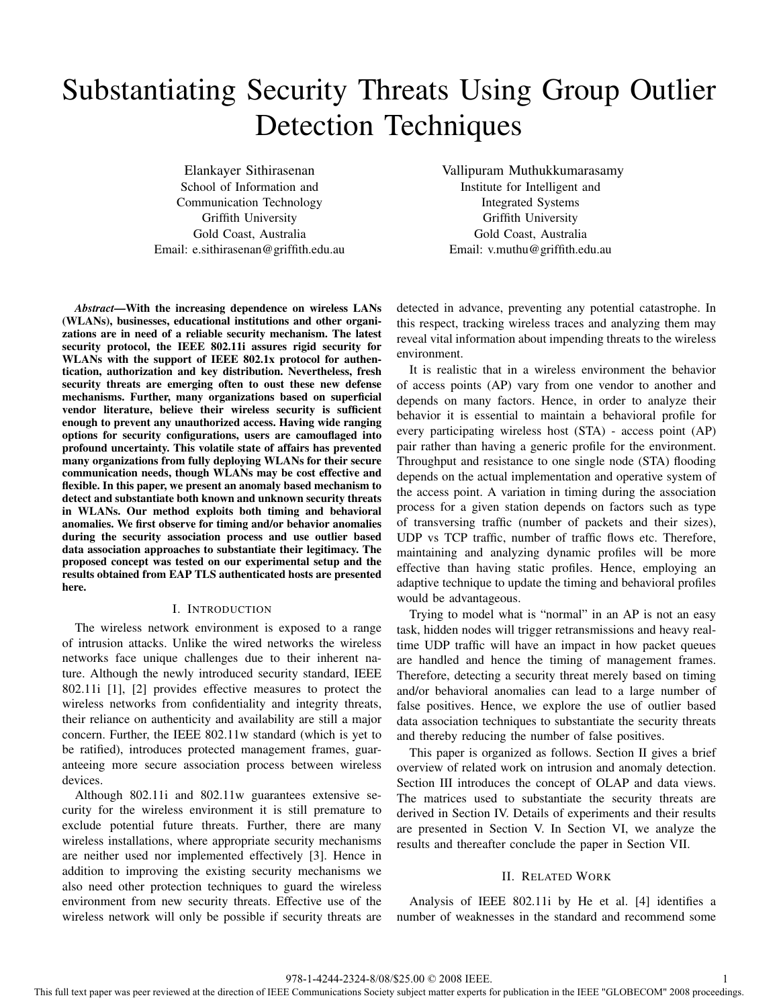# Substantiating Security Threats Using Group Outlier Detection Techniques

Elankayer Sithirasenan School of Information and Communication Technology Griffith University Gold Coast, Australia Email: e.sithirasenan@griffith.edu.au

*Abstract***—With the increasing dependence on wireless LANs (WLANs), businesses, educational institutions and other organizations are in need of a reliable security mechanism. The latest security protocol, the IEEE 802.11i assures rigid security for WLANs with the support of IEEE 802.1x protocol for authentication, authorization and key distribution. Nevertheless, fresh security threats are emerging often to oust these new defense mechanisms. Further, many organizations based on superficial vendor literature, believe their wireless security is sufficient enough to prevent any unauthorized access. Having wide ranging options for security configurations, users are camouflaged into profound uncertainty. This volatile state of affairs has prevented many organizations from fully deploying WLANs for their secure communication needs, though WLANs may be cost effective and flexible. In this paper, we present an anomaly based mechanism to detect and substantiate both known and unknown security threats in WLANs. Our method exploits both timing and behavioral anomalies. We first observe for timing and/or behavior anomalies during the security association process and use outlier based data association approaches to substantiate their legitimacy. The proposed concept was tested on our experimental setup and the results obtained from EAP TLS authenticated hosts are presented here.**

## I. INTRODUCTION

The wireless network environment is exposed to a range of intrusion attacks. Unlike the wired networks the wireless networks face unique challenges due to their inherent nature. Although the newly introduced security standard, IEEE 802.11i [1], [2] provides effective measures to protect the wireless networks from confidentiality and integrity threats, their reliance on authenticity and availability are still a major concern. Further, the IEEE 802.11w standard (which is yet to be ratified), introduces protected management frames, guaranteeing more secure association process between wireless devices.

Although 802.11i and 802.11w guarantees extensive security for the wireless environment it is still premature to exclude potential future threats. Further, there are many wireless installations, where appropriate security mechanisms are neither used nor implemented effectively [3]. Hence in addition to improving the existing security mechanisms we also need other protection techniques to guard the wireless environment from new security threats. Effective use of the wireless network will only be possible if security threats are Vallipuram Muthukkumarasamy Institute for Intelligent and Integrated Systems Griffith University Gold Coast, Australia Email: v.muthu@griffith.edu.au

detected in advance, preventing any potential catastrophe. In this respect, tracking wireless traces and analyzing them may reveal vital information about impending threats to the wireless environment.

It is realistic that in a wireless environment the behavior of access points (AP) vary from one vendor to another and depends on many factors. Hence, in order to analyze their behavior it is essential to maintain a behavioral profile for every participating wireless host (STA) - access point (AP) pair rather than having a generic profile for the environment. Throughput and resistance to one single node (STA) flooding depends on the actual implementation and operative system of the access point. A variation in timing during the association process for a given station depends on factors such as type of transversing traffic (number of packets and their sizes), UDP vs TCP traffic, number of traffic flows etc. Therefore, maintaining and analyzing dynamic profiles will be more effective than having static profiles. Hence, employing an adaptive technique to update the timing and behavioral profiles would be advantageous.

Trying to model what is "normal" in an AP is not an easy task, hidden nodes will trigger retransmissions and heavy realtime UDP traffic will have an impact in how packet queues are handled and hence the timing of management frames. Therefore, detecting a security threat merely based on timing and/or behavioral anomalies can lead to a large number of false positives. Hence, we explore the use of outlier based data association techniques to substantiate the security threats and thereby reducing the number of false positives.

This paper is organized as follows. Section II gives a brief overview of related work on intrusion and anomaly detection. Section III introduces the concept of OLAP and data views. The matrices used to substantiate the security threats are derived in Section IV. Details of experiments and their results are presented in Section V. In Section VI, we analyze the results and thereafter conclude the paper in Section VII.

## II. RELATED WORK

Analysis of IEEE 802.11i by He et al. [4] identifies a number of weaknesses in the standard and recommend some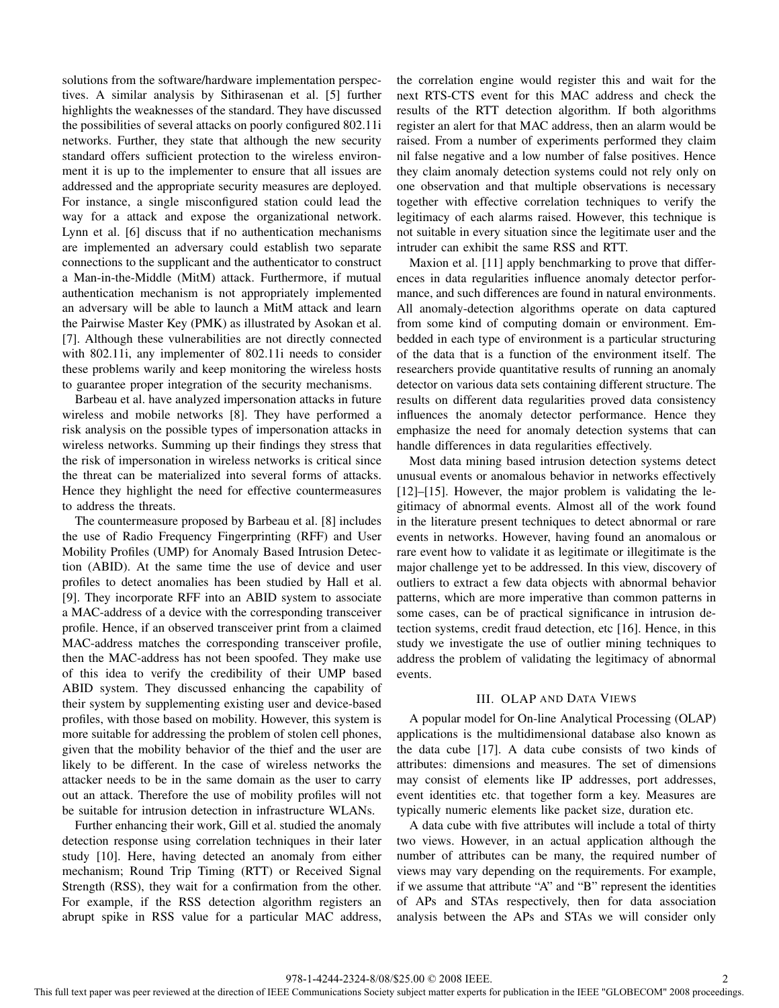solutions from the software/hardware implementation perspectives. A similar analysis by Sithirasenan et al. [5] further highlights the weaknesses of the standard. They have discussed the possibilities of several attacks on poorly configured 802.11i networks. Further, they state that although the new security standard offers sufficient protection to the wireless environment it is up to the implementer to ensure that all issues are addressed and the appropriate security measures are deployed. For instance, a single misconfigured station could lead the way for a attack and expose the organizational network. Lynn et al. [6] discuss that if no authentication mechanisms are implemented an adversary could establish two separate connections to the supplicant and the authenticator to construct a Man-in-the-Middle (MitM) attack. Furthermore, if mutual authentication mechanism is not appropriately implemented an adversary will be able to launch a MitM attack and learn the Pairwise Master Key (PMK) as illustrated by Asokan et al. [7]. Although these vulnerabilities are not directly connected with 802.11i, any implementer of 802.11i needs to consider these problems warily and keep monitoring the wireless hosts to guarantee proper integration of the security mechanisms.

Barbeau et al. have analyzed impersonation attacks in future wireless and mobile networks [8]. They have performed a risk analysis on the possible types of impersonation attacks in wireless networks. Summing up their findings they stress that the risk of impersonation in wireless networks is critical since the threat can be materialized into several forms of attacks. Hence they highlight the need for effective countermeasures to address the threats.

The countermeasure proposed by Barbeau et al. [8] includes the use of Radio Frequency Fingerprinting (RFF) and User Mobility Profiles (UMP) for Anomaly Based Intrusion Detection (ABID). At the same time the use of device and user profiles to detect anomalies has been studied by Hall et al. [9]. They incorporate RFF into an ABID system to associate a MAC-address of a device with the corresponding transceiver profile. Hence, if an observed transceiver print from a claimed MAC-address matches the corresponding transceiver profile, then the MAC-address has not been spoofed. They make use of this idea to verify the credibility of their UMP based ABID system. They discussed enhancing the capability of their system by supplementing existing user and device-based profiles, with those based on mobility. However, this system is more suitable for addressing the problem of stolen cell phones, given that the mobility behavior of the thief and the user are likely to be different. In the case of wireless networks the attacker needs to be in the same domain as the user to carry out an attack. Therefore the use of mobility profiles will not be suitable for intrusion detection in infrastructure WLANs.

Further enhancing their work, Gill et al. studied the anomaly detection response using correlation techniques in their later study [10]. Here, having detected an anomaly from either mechanism; Round Trip Timing (RTT) or Received Signal Strength (RSS), they wait for a confirmation from the other. For example, if the RSS detection algorithm registers an abrupt spike in RSS value for a particular MAC address, the correlation engine would register this and wait for the next RTS-CTS event for this MAC address and check the results of the RTT detection algorithm. If both algorithms register an alert for that MAC address, then an alarm would be raised. From a number of experiments performed they claim nil false negative and a low number of false positives. Hence they claim anomaly detection systems could not rely only on one observation and that multiple observations is necessary together with effective correlation techniques to verify the legitimacy of each alarms raised. However, this technique is not suitable in every situation since the legitimate user and the intruder can exhibit the same RSS and RTT.

Maxion et al. [11] apply benchmarking to prove that differences in data regularities influence anomaly detector performance, and such differences are found in natural environments. All anomaly-detection algorithms operate on data captured from some kind of computing domain or environment. Embedded in each type of environment is a particular structuring of the data that is a function of the environment itself. The researchers provide quantitative results of running an anomaly detector on various data sets containing different structure. The results on different data regularities proved data consistency influences the anomaly detector performance. Hence they emphasize the need for anomaly detection systems that can handle differences in data regularities effectively.

Most data mining based intrusion detection systems detect unusual events or anomalous behavior in networks effectively [12]–[15]. However, the major problem is validating the legitimacy of abnormal events. Almost all of the work found in the literature present techniques to detect abnormal or rare events in networks. However, having found an anomalous or rare event how to validate it as legitimate or illegitimate is the major challenge yet to be addressed. In this view, discovery of outliers to extract a few data objects with abnormal behavior patterns, which are more imperative than common patterns in some cases, can be of practical significance in intrusion detection systems, credit fraud detection, etc [16]. Hence, in this study we investigate the use of outlier mining techniques to address the problem of validating the legitimacy of abnormal events.

## III. OLAP AND DATA VIEWS

A popular model for On-line Analytical Processing (OLAP) applications is the multidimensional database also known as the data cube [17]. A data cube consists of two kinds of attributes: dimensions and measures. The set of dimensions may consist of elements like IP addresses, port addresses, event identities etc. that together form a key. Measures are typically numeric elements like packet size, duration etc.

A data cube with five attributes will include a total of thirty two views. However, in an actual application although the number of attributes can be many, the required number of views may vary depending on the requirements. For example, if we assume that attribute "A" and "B" represent the identities of APs and STAs respectively, then for data association analysis between the APs and STAs we will consider only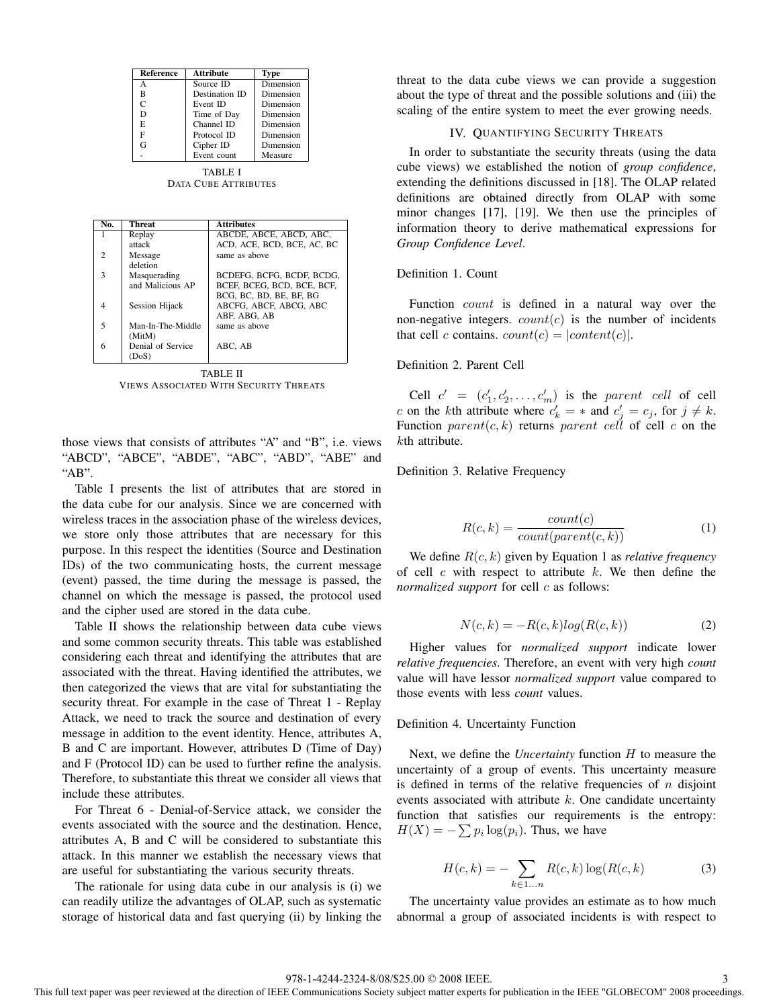| Reference     | <b>Attribute</b> | Type      |
|---------------|------------------|-----------|
| А             | Source ID        | Dimension |
| R             | Destination ID   | Dimension |
| $\mathcal{C}$ | Event ID         | Dimension |
| D             | Time of Day      | Dimension |
| E.            | Channel ID       | Dimension |
| F             | Protocol ID      | Dimension |
| G             | Cipher ID        | Dimension |
|               | Event count      | Measure   |

TABLE I DATA CUBE ATTRIBUTES

| No.                      | <b>Threat</b>     | <b>Attributes</b>          |
|--------------------------|-------------------|----------------------------|
|                          | Replay            | ABCDE, ABCE, ABCD, ABC,    |
|                          | attack            | ACD, ACE, BCD, BCE, AC, BC |
| 2                        | Message           | same as above              |
|                          | deletion          |                            |
| 3                        | Masquerading      | BCDEFG, BCFG, BCDF, BCDG,  |
|                          | and Malicious AP  | BCEF, BCEG, BCD, BCE, BCF, |
|                          |                   | BCG, BC, BD, BE, BF, BG    |
|                          | Session Hijack    | ABCFG, ABCF, ABCG, ABC     |
|                          |                   | ABF, ABG, AB               |
| $\overline{\phantom{0}}$ | Man-In-The-Middle | same as above              |
|                          | (MitM)            |                            |
| 6                        | Denial of Service | ABC. AB                    |
|                          | (DoS)             |                            |

TABLE II VIEWS ASSOCIATED WITH SECURITY THREATS

those views that consists of attributes "A" and "B", i.e. views "ABCD", "ABCE", "ABDE", "ABC", "ABD", "ABE" and " $AB$ ".

Table I presents the list of attributes that are stored in the data cube for our analysis. Since we are concerned with wireless traces in the association phase of the wireless devices, we store only those attributes that are necessary for this purpose. In this respect the identities (Source and Destination IDs) of the two communicating hosts, the current message (event) passed, the time during the message is passed, the channel on which the message is passed, the protocol used and the cipher used are stored in the data cube.

Table II shows the relationship between data cube views and some common security threats. This table was established considering each threat and identifying the attributes that are associated with the threat. Having identified the attributes, we then categorized the views that are vital for substantiating the security threat. For example in the case of Threat 1 - Replay Attack, we need to track the source and destination of every message in addition to the event identity. Hence, attributes A, B and C are important. However, attributes D (Time of Day) and F (Protocol ID) can be used to further refine the analysis. Therefore, to substantiate this threat we consider all views that include these attributes.

For Threat 6 - Denial-of-Service attack, we consider the events associated with the source and the destination. Hence, attributes A, B and C will be considered to substantiate this attack. In this manner we establish the necessary views that are useful for substantiating the various security threats.

The rationale for using data cube in our analysis is (i) we can readily utilize the advantages of OLAP, such as systematic storage of historical data and fast querying (ii) by linking the threat to the data cube views we can provide a suggestion about the type of threat and the possible solutions and (iii) the scaling of the entire system to meet the ever growing needs.

## IV. QUANTIFYING SECURITY THREATS

In order to substantiate the security threats (using the data cube views) we established the notion of *group confidence*, extending the definitions discussed in [18]. The OLAP related definitions are obtained directly from OLAP with some minor changes [17], [19]. We then use the principles of information theory to derive mathematical expressions for *Group Confidence Level*.

# Definition 1. Count

Function *count* is defined in a natural way over the non-negative integers.  $count(c)$  is the number of incidents that cell *c* contains.  $count(c) = |content(c)|$ .

## Definition 2. Parent Cell

Cell  $c' = (c'_1, c'_2, \ldots, c'_m)$  is the *parent cell* of cell<br>on the *k*th attribute where  $c' = x$  and  $c' = c$ , for  $i \neq k$ *c* on the *k*th attribute where  $c'_k = *$  and  $c'_j = c_j$ , for  $j \neq k$ .<br>
Eunction *narent*(*c*<sub>k</sub>) returns *narent cell* of cell *c* on the Function *parent* $(c, k)$  returns *parent cell* of cell *c* on the *k*th attribute.

Definition 3. Relative Frequency

$$
R(c,k) = \frac{count(c)}{count(parent(c,k))}
$$
 (1)

We define *R*(*c, k*) given by Equation 1 as *relative frequency* of cell *c* with respect to attribute *k*. We then define the *normalized support* for cell *c* as follows:

$$
N(c,k) = -R(c,k)log(R(c,k))
$$
\n(2)

Higher values for *normalized support* indicate lower *relative frequencies*. Therefore, an event with very high *count* value will have lessor *normalized support* value compared to those events with less *count* values.

#### Definition 4. Uncertainty Function

Next, we define the *Uncertainty* function *H* to measure the uncertainty of a group of events. This uncertainty measure is defined in terms of the relative frequencies of *n* disjoint events associated with attribute *k*. One candidate uncertainty function that satisfies our requirements is the entropy:  $H(X) = -\sum p_i \log(p_i)$ . Thus, we have

$$
H(c,k) = -\sum_{k \in 1...n} R(c,k) \log(R(c,k)
$$
 (3)

The uncertainty value provides an estimate as to how much abnormal a group of associated incidents is with respect to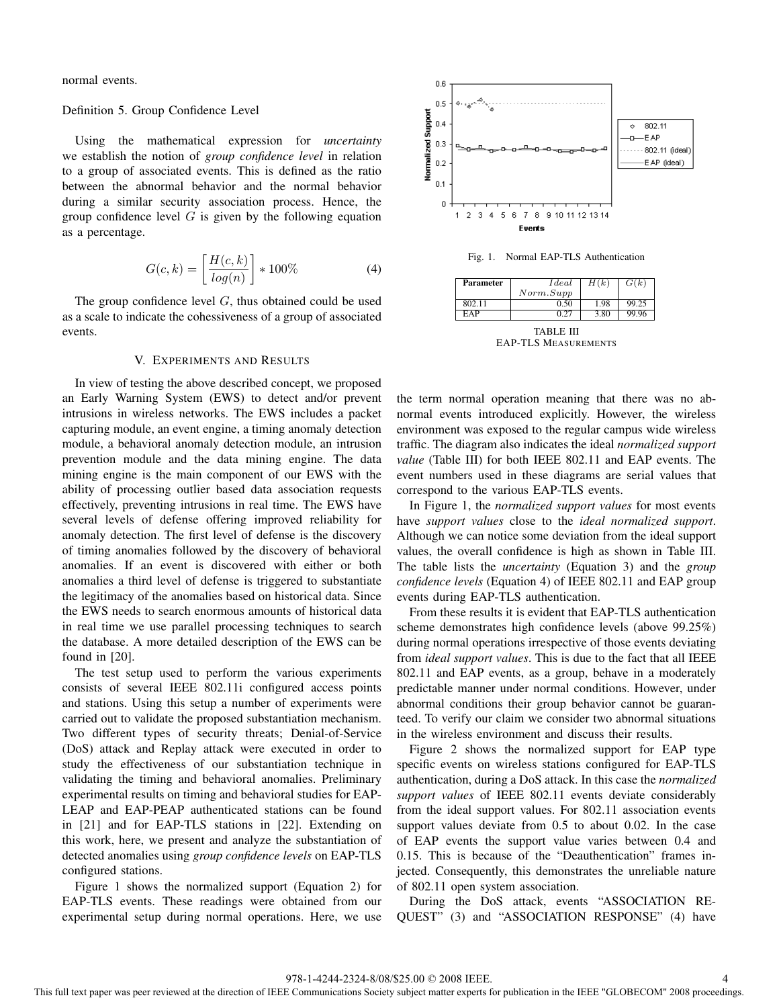normal events.

## Definition 5. Group Confidence Level

Using the mathematical expression for *uncertainty* we establish the notion of *group confidence level* in relation to a group of associated events. This is defined as the ratio between the abnormal behavior and the normal behavior during a similar security association process. Hence, the group confidence level *G* is given by the following equation as a percentage.

$$
G(c,k) = \left[\frac{H(c,k)}{\log(n)}\right] * 100\%
$$
 (4)

The group confidence level *G*, thus obtained could be used as a scale to indicate the cohessiveness of a group of associated events.

## V. EXPERIMENTS AND RESULTS

In view of testing the above described concept, we proposed an Early Warning System (EWS) to detect and/or prevent intrusions in wireless networks. The EWS includes a packet capturing module, an event engine, a timing anomaly detection module, a behavioral anomaly detection module, an intrusion prevention module and the data mining engine. The data mining engine is the main component of our EWS with the ability of processing outlier based data association requests effectively, preventing intrusions in real time. The EWS have several levels of defense offering improved reliability for anomaly detection. The first level of defense is the discovery of timing anomalies followed by the discovery of behavioral anomalies. If an event is discovered with either or both anomalies a third level of defense is triggered to substantiate the legitimacy of the anomalies based on historical data. Since the EWS needs to search enormous amounts of historical data in real time we use parallel processing techniques to search the database. A more detailed description of the EWS can be found in [20].

The test setup used to perform the various experiments consists of several IEEE 802.11i configured access points and stations. Using this setup a number of experiments were carried out to validate the proposed substantiation mechanism. Two different types of security threats; Denial-of-Service (DoS) attack and Replay attack were executed in order to study the effectiveness of our substantiation technique in validating the timing and behavioral anomalies. Preliminary experimental results on timing and behavioral studies for EAP-LEAP and EAP-PEAP authenticated stations can be found in [21] and for EAP-TLS stations in [22]. Extending on this work, here, we present and analyze the substantiation of detected anomalies using *group confidence levels* on EAP-TLS configured stations.

Figure 1 shows the normalized support (Equation 2) for EAP-TLS events. These readings were obtained from our experimental setup during normal operations. Here, we use



Fig. 1. Normal EAP-TLS Authentication

| Parameter | Ideal      | H(k) | G(k)  |  |  |  |  |
|-----------|------------|------|-------|--|--|--|--|
|           | Norm. Supp |      |       |  |  |  |  |
| 802.11    | 0.50       | 1.98 | 99.25 |  |  |  |  |
| EAP       | 0.27       | 3.80 | 99.96 |  |  |  |  |
| TABLE III |            |      |       |  |  |  |  |

EAP-TLS MEASUREMENTS

the term normal operation meaning that there was no abnormal events introduced explicitly. However, the wireless environment was exposed to the regular campus wide wireless traffic. The diagram also indicates the ideal *normalized support value* (Table III) for both IEEE 802.11 and EAP events. The event numbers used in these diagrams are serial values that correspond to the various EAP-TLS events.

In Figure 1, the *normalized support values* for most events have *support values* close to the *ideal normalized support*. Although we can notice some deviation from the ideal support values, the overall confidence is high as shown in Table III. The table lists the *uncertainty* (Equation 3) and the *group confidence levels* (Equation 4) of IEEE 802.11 and EAP group events during EAP-TLS authentication.

From these results it is evident that EAP-TLS authentication scheme demonstrates high confidence levels (above 99.25%) during normal operations irrespective of those events deviating from *ideal support values*. This is due to the fact that all IEEE 802.11 and EAP events, as a group, behave in a moderately predictable manner under normal conditions. However, under abnormal conditions their group behavior cannot be guaranteed. To verify our claim we consider two abnormal situations in the wireless environment and discuss their results.

Figure 2 shows the normalized support for EAP type specific events on wireless stations configured for EAP-TLS authentication, during a DoS attack. In this case the *normalized support values* of IEEE 802.11 events deviate considerably from the ideal support values. For 802.11 association events support values deviate from 0.5 to about 0.02. In the case of EAP events the support value varies between 0.4 and 0.15. This is because of the "Deauthentication" frames injected. Consequently, this demonstrates the unreliable nature of 802.11 open system association.

During the DoS attack, events "ASSOCIATION RE-QUEST" (3) and "ASSOCIATION RESPONSE" (4) have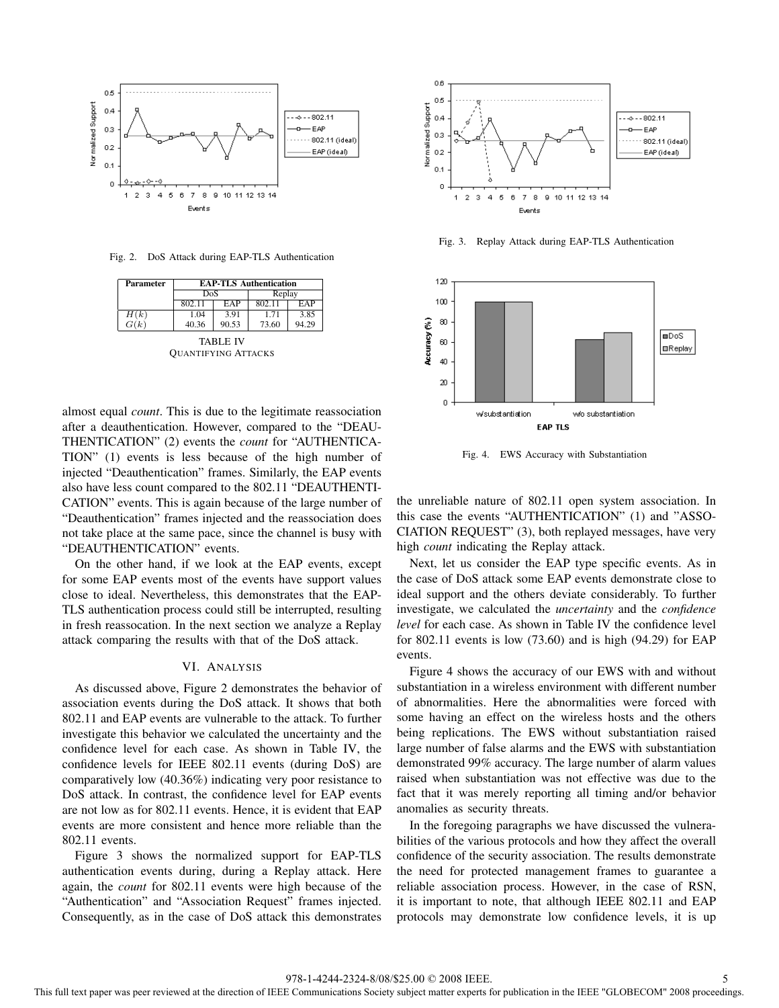

Fig. 2. DoS Attack during EAP-TLS Authentication

| Parameter | <b>EAP-TLS Authentication</b> |       |        |       |  |
|-----------|-------------------------------|-------|--------|-------|--|
|           | DoS                           |       | Replay |       |  |
|           | 802.11                        | EAP   | 802.11 | EAP   |  |
| H(k)      | 1.04                          | 3.91  | 1 7 1  | 3.85  |  |
| G(k)      | 40.36                         | 90.53 | 73.60  | 94.29 |  |
|           |                               |       |        |       |  |

TABLE IV QUANTIFYING ATTACKS

almost equal *count*. This is due to the legitimate reassociation after a deauthentication. However, compared to the "DEAU-THENTICATION" (2) events the *count* for "AUTHENTICA-TION" (1) events is less because of the high number of injected "Deauthentication" frames. Similarly, the EAP events also have less count compared to the 802.11 "DEAUTHENTI-CATION" events. This is again because of the large number of "Deauthentication" frames injected and the reassociation does not take place at the same pace, since the channel is busy with "DEAUTHENTICATION" events.

On the other hand, if we look at the EAP events, except for some EAP events most of the events have support values close to ideal. Nevertheless, this demonstrates that the EAP-TLS authentication process could still be interrupted, resulting in fresh reassocation. In the next section we analyze a Replay attack comparing the results with that of the DoS attack.

## VI. ANALYSIS

As discussed above, Figure 2 demonstrates the behavior of association events during the DoS attack. It shows that both 802.11 and EAP events are vulnerable to the attack. To further investigate this behavior we calculated the uncertainty and the confidence level for each case. As shown in Table IV, the confidence levels for IEEE 802.11 events (during DoS) are comparatively low (40.36%) indicating very poor resistance to DoS attack. In contrast, the confidence level for EAP events are not low as for 802.11 events. Hence, it is evident that EAP events are more consistent and hence more reliable than the 802.11 events.

Figure 3 shows the normalized support for EAP-TLS authentication events during, during a Replay attack. Here again, the *count* for 802.11 events were high because of the "Authentication" and "Association Request" frames injected. Consequently, as in the case of DoS attack this demonstrates



Fig. 3. Replay Attack during EAP-TLS Authentication



Fig. 4. EWS Accuracy with Substantiation

the unreliable nature of 802.11 open system association. In this case the events "AUTHENTICATION" (1) and "ASSO-CIATION REQUEST" (3), both replayed messages, have very high *count* indicating the Replay attack.

Next, let us consider the EAP type specific events. As in the case of DoS attack some EAP events demonstrate close to ideal support and the others deviate considerably. To further investigate, we calculated the *uncertainty* and the *confidence level* for each case. As shown in Table IV the confidence level for 802.11 events is low (73.60) and is high (94.29) for EAP events.

Figure 4 shows the accuracy of our EWS with and without substantiation in a wireless environment with different number of abnormalities. Here the abnormalities were forced with some having an effect on the wireless hosts and the others being replications. The EWS without substantiation raised large number of false alarms and the EWS with substantiation demonstrated 99% accuracy. The large number of alarm values raised when substantiation was not effective was due to the fact that it was merely reporting all timing and/or behavior anomalies as security threats.

In the foregoing paragraphs we have discussed the vulnerabilities of the various protocols and how they affect the overall confidence of the security association. The results demonstrate the need for protected management frames to guarantee a reliable association process. However, in the case of RSN, it is important to note, that although IEEE 802.11 and EAP protocols may demonstrate low confidence levels, it is up